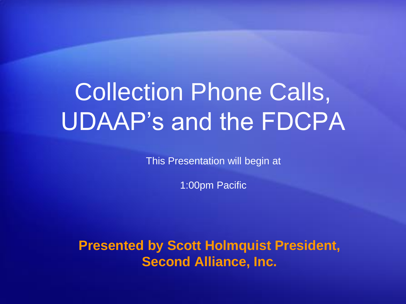# Collection Phone Calls, UDAAP's and the FDCPA

This Presentation will begin at

1:00pm Pacific

**Presented by Scott Holmquist President, Second Alliance, Inc.**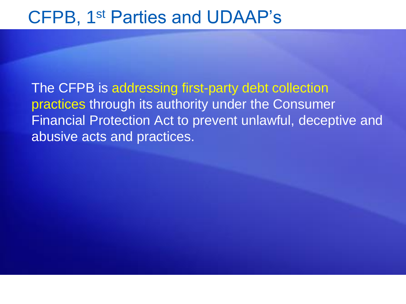The CFPB is addressing first-party debt collection practices through its authority under the Consumer Financial Protection Act to prevent unlawful, deceptive and abusive acts and practices.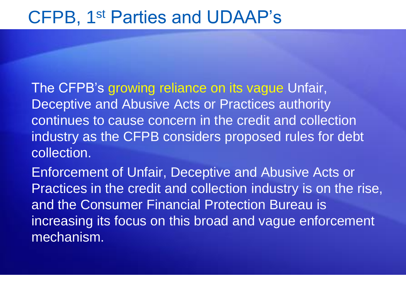The CFPB's growing reliance on its vague Unfair, Deceptive and Abusive Acts or Practices authority continues to cause concern in the credit and collection industry as the CFPB considers proposed rules for debt collection.

Enforcement of Unfair, Deceptive and Abusive Acts or Practices in the credit and collection industry is on the rise, and the Consumer Financial Protection Bureau is increasing its focus on this broad and vague enforcement mechanism.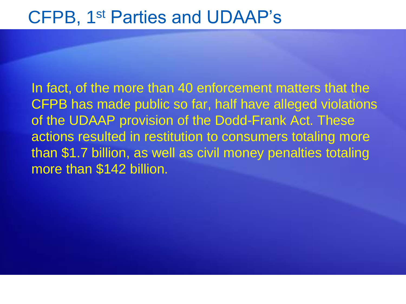In fact, of the more than 40 enforcement matters that the CFPB has made public so far, half have alleged violations of the UDAAP provision of the Dodd-Frank Act. These actions resulted in restitution to consumers totaling more than \$1.7 billion, as well as civil money penalties totaling more than \$142 billion.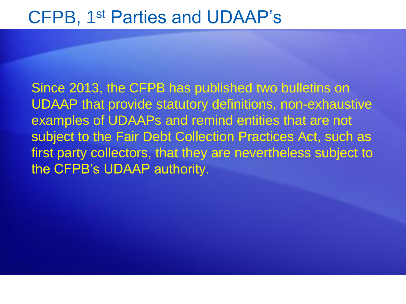Since 2013, the CFPB has published two bulletins on UDAAP that provide statutory definitions, non-exhaustive examples of UDAAPs and remind entities that are not subject to the Fair Debt Collection Practices Act, such as first party collectors, that they are nevertheless subject to the CFPB's UDAAP authority.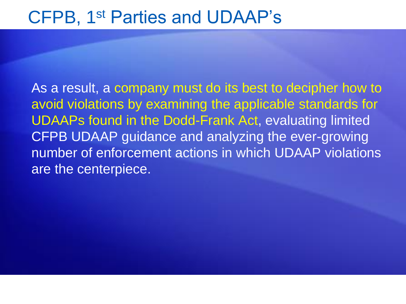As a result, a company must do its best to decipher how to avoid violations by examining the applicable standards for UDAAPs found in the Dodd-Frank Act, evaluating limited CFPB UDAAP guidance and analyzing the ever-growing number of enforcement actions in which UDAAP violations are the centerpiece.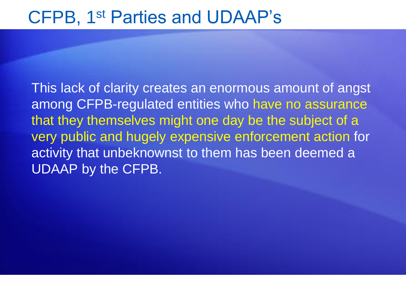This lack of clarity creates an enormous amount of angst among CFPB-regulated entities who have no assurance that they themselves might one day be the subject of a very public and hugely expensive enforcement action for activity that unbeknownst to them has been deemed a UDAAP by the CFPB.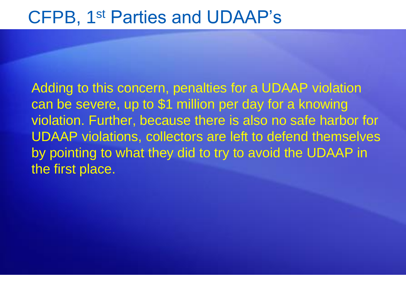Adding to this concern, penalties for a UDAAP violation can be severe, up to \$1 million per day for a knowing violation. Further, because there is also no safe harbor for UDAAP violations, collectors are left to defend themselves by pointing to what they did to try to avoid the UDAAP in the first place.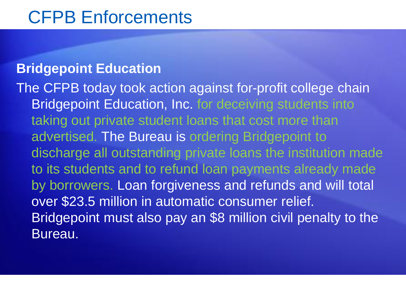### **Bridgepoint Education**

The CFPB today took action against for-profit college chain Bridgepoint Education, Inc. for deceiving students into taking out private student loans that cost more than advertised. The Bureau is ordering Bridgepoint to discharge all outstanding private loans the institution made to its students and to refund loan payments already made by borrowers. Loan forgiveness and refunds and will total over \$23.5 million in automatic consumer relief. Bridgepoint must also pay an \$8 million civil penalty to the Bureau.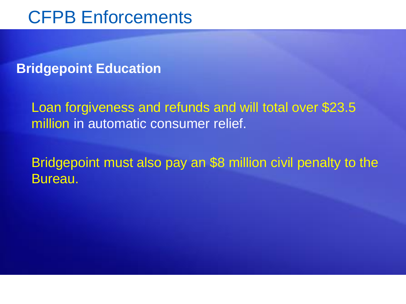### **Bridgepoint Education**

Loan forgiveness and refunds and will total over \$23.5 million in automatic consumer relief.

Bridgepoint must also pay an \$8 million civil penalty to the Bureau.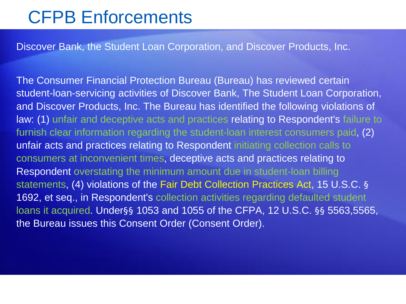Discover Bank, the Student Loan Corporation, and Discover Products, Inc.

The Consumer Financial Protection Bureau (Bureau) has reviewed certain student-loan-servicing activities of Discover Bank, The Student Loan Corporation, and Discover Products, Inc. The Bureau has identified the following violations of law: (1) unfair and deceptive acts and practices relating to Respondent's failure to furnish clear information regarding the student-loan interest consumers paid, (2) unfair acts and practices relating to Respondent initiating collection calls to consumers at inconvenient times, deceptive acts and practices relating to Respondent overstating the minimum amount due in student-loan billing statements, (4) violations of the Fair Debt Collection Practices Act, 15 U.S.C. § 1692, et seq., in Respondent's collection activities regarding defaulted student loans it acquired. Under§§ 1053 and 1055 of the CFPA, 12 U.S.C. §§ 5563,5565, the Bureau issues this Consent Order (Consent Order).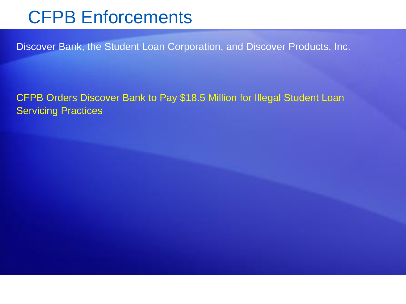Discover Bank, the Student Loan Corporation, and Discover Products, Inc.

CFPB Orders Discover Bank to Pay \$18.5 Million for Illegal Student Loan Servicing Practices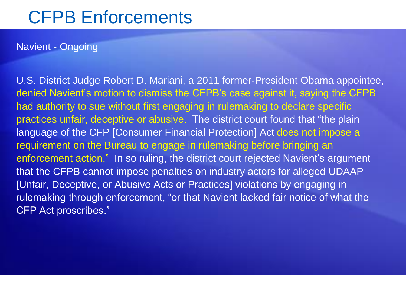#### Navient - Ongoing

U.S. District Judge Robert D. Mariani, a 2011 former-President Obama appointee, denied Navient's motion to dismiss the CFPB's case against it, saying the CFPB had authority to sue without first engaging in rulemaking to declare specific practices unfair, deceptive or abusive. The district court found that "the plain language of the CFP [Consumer Financial Protection] Act does not impose a requirement on the Bureau to engage in rulemaking before bringing an enforcement action." In so ruling, the district court rejected Navient's argument that the CFPB cannot impose penalties on industry actors for alleged UDAAP [Unfair, Deceptive, or Abusive Acts or Practices] violations by engaging in rulemaking through enforcement, "or that Navient lacked fair notice of what the CFP Act proscribes."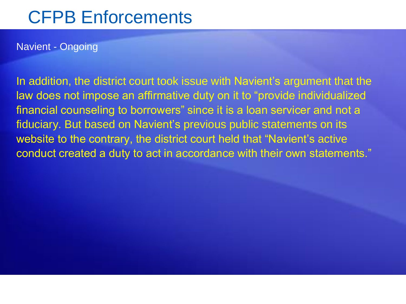#### Navient - Ongoing

In addition, the district court took issue with Navient's argument that the law does not impose an affirmative duty on it to "provide individualized financial counseling to borrowers" since it is a loan servicer and not a fiduciary. But based on Navient's previous public statements on its website to the contrary, the district court held that "Navient's active conduct created a duty to act in accordance with their own statements."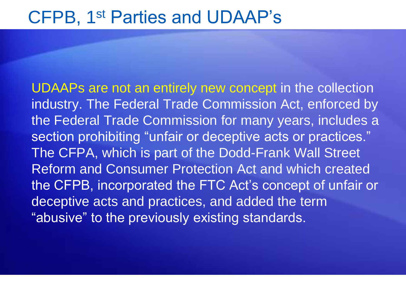UDAAPs are not an entirely new concept in the collection industry. The Federal Trade Commission Act, enforced by the Federal Trade Commission for many years, includes a section prohibiting "unfair or deceptive acts or practices." The CFPA, which is part of the Dodd-Frank Wall Street Reform and Consumer Protection Act and which created the CFPB, incorporated the FTC Act's concept of unfair or deceptive acts and practices, and added the term "abusive" to the previously existing standards.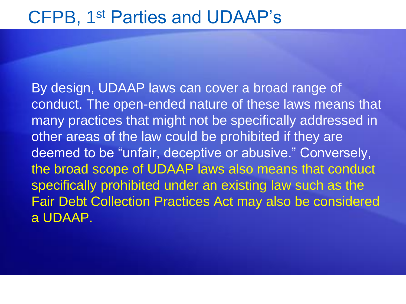By design, UDAAP laws can cover a broad range of conduct. The open-ended nature of these laws means that many practices that might not be specifically addressed in other areas of the law could be prohibited if they are deemed to be "unfair, deceptive or abusive." Conversely, the broad scope of UDAAP laws also means that conduct specifically prohibited under an existing law such as the Fair Debt Collection Practices Act may also be considered a UDAAP.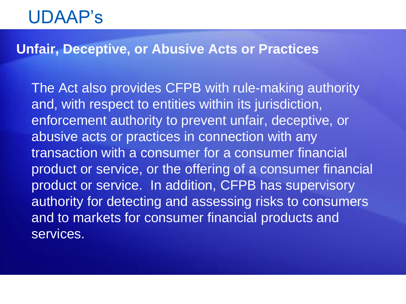### **Unfair, Deceptive, or Abusive Acts or Practices**

The Act also provides CFPB with rule-making authority and, with respect to entities within its jurisdiction, enforcement authority to prevent unfair, deceptive, or abusive acts or practices in connection with any transaction with a consumer for a consumer financial product or service, or the offering of a consumer financial product or service. In addition, CFPB has supervisory authority for detecting and assessing risks to consumers and to markets for consumer financial products and services.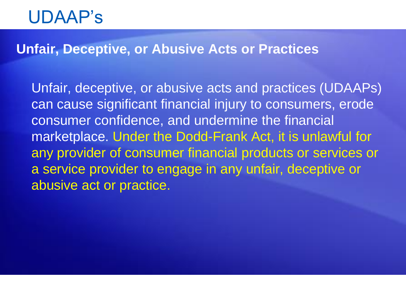### **Unfair, Deceptive, or Abusive Acts or Practices**

Unfair, deceptive, or abusive acts and practices (UDAAPs) can cause significant financial injury to consumers, erode consumer confidence, and undermine the financial marketplace. Under the Dodd-Frank Act, it is unlawful for any provider of consumer financial products or services or a service provider to engage in any unfair, deceptive or abusive act or practice.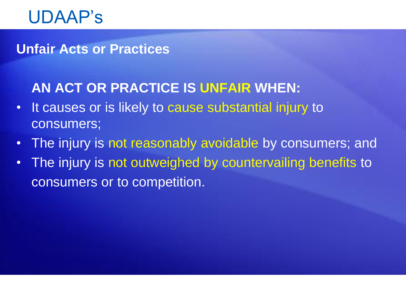### **Unfair Acts or Practices**

### **AN ACT OR PRACTICE IS UNFAIR WHEN:**

- It causes or is likely to cause substantial injury to consumers;
- The injury is not reasonably avoidable by consumers; and
- The injury is not outweighed by countervailing benefits to consumers or to competition.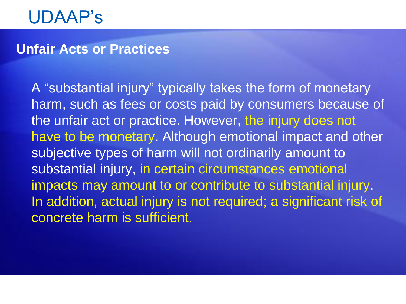### **Unfair Acts or Practices**

A "substantial injury" typically takes the form of monetary harm, such as fees or costs paid by consumers because of the unfair act or practice. However, the injury does not have to be monetary. Although emotional impact and other subjective types of harm will not ordinarily amount to substantial injury, in certain circumstances emotional impacts may amount to or contribute to substantial injury. In addition, actual injury is not required; a significant risk of concrete harm is sufficient.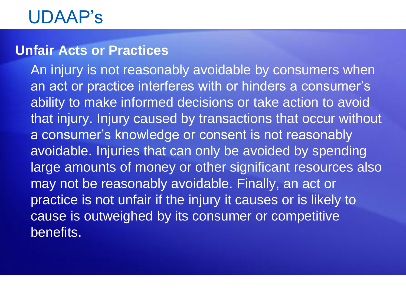### **Unfair Acts or Practices**

An injury is not reasonably avoidable by consumers when an act or practice interferes with or hinders a consumer's ability to make informed decisions or take action to avoid that injury. Injury caused by transactions that occur without a consumer's knowledge or consent is not reasonably avoidable. Injuries that can only be avoided by spending large amounts of money or other significant resources also may not be reasonably avoidable. Finally, an act or practice is not unfair if the injury it causes or is likely to cause is outweighed by its consumer or competitive benefits.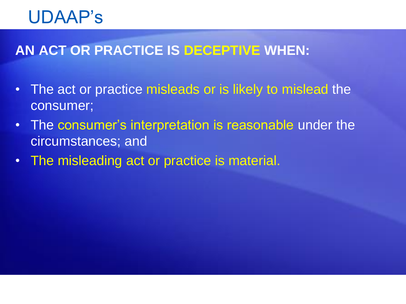### **AN ACT OR PRACTICE IS DECEPTIVE WHEN:**

- The act or practice misleads or is likely to mislead the consumer;
- The consumer's interpretation is reasonable under the circumstances; and
- The misleading act or practice is material.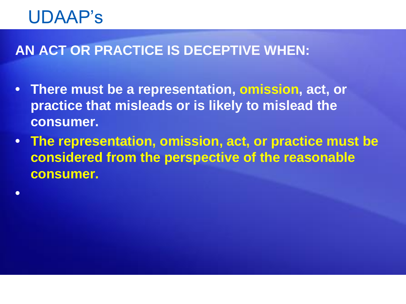**•** 

### **AN ACT OR PRACTICE IS DECEPTIVE WHEN:**

- **There must be a representation, omission, act, or practice that misleads or is likely to mislead the consumer.**
- **The representation, omission, act, or practice must be considered from the perspective of the reasonable consumer.**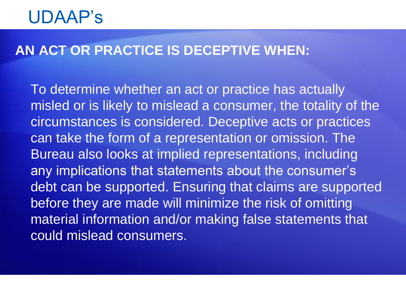### **AN ACT OR PRACTICE IS DECEPTIVE WHEN:**

To determine whether an act or practice has actually misled or is likely to mislead a consumer, the totality of the circumstances is considered. Deceptive acts or practices can take the form of a representation or omission. The Bureau also looks at implied representations, including any implications that statements about the consumer's debt can be supported. Ensuring that claims are supported before they are made will minimize the risk of omitting material information and/or making false statements that could mislead consumers.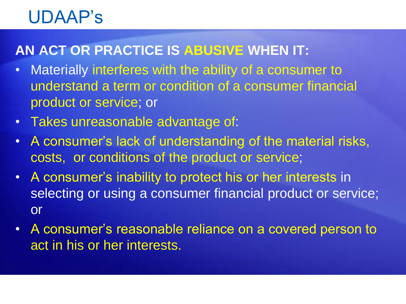### **AN ACT OR PRACTICE IS ABUSIVE WHEN IT:**

- Materially interferes with the ability of a consumer to understand a term or condition of a consumer financial product or service; or
- Takes unreasonable advantage of:
- A consumer's lack of understanding of the material risks, costs, or conditions of the product or service;
- A consumer's inability to protect his or her interests in selecting or using a consumer financial product or service; or
- A consumer's reasonable reliance on a covered person to act in his or her interests.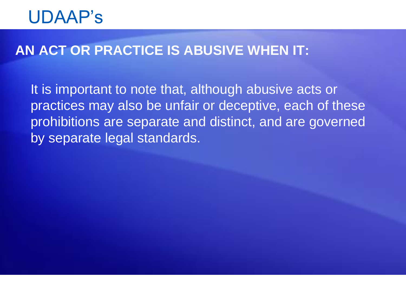### **AN ACT OR PRACTICE IS ABUSIVE WHEN IT:**

It is important to note that, although abusive acts or practices may also be unfair or deceptive, each of these prohibitions are separate and distinct, and are governed by separate legal standards.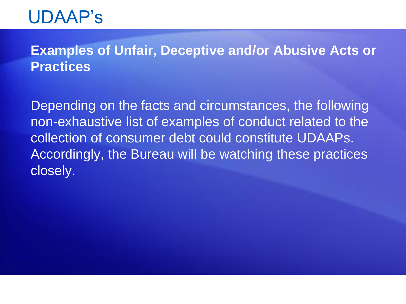### **Examples of Unfair, Deceptive and/or Abusive Acts or Practices**

Depending on the facts and circumstances, the following non-exhaustive list of examples of conduct related to the collection of consumer debt could constitute UDAAPs. Accordingly, the Bureau will be watching these practices closely.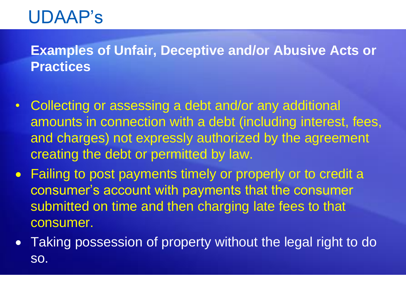### **Examples of Unfair, Deceptive and/or Abusive Acts or Practices**

- Collecting or assessing a debt and/or any additional amounts in connection with a debt (including interest, fees, and charges) not expressly authorized by the agreement creating the debt or permitted by law.
- Failing to post payments timely or properly or to credit a consumer's account with payments that the consumer submitted on time and then charging late fees to that consumer.
- Taking possession of property without the legal right to do so.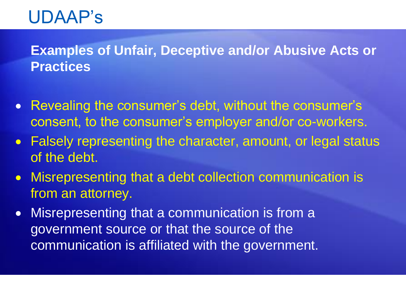### **Examples of Unfair, Deceptive and/or Abusive Acts or Practices**

- Revealing the consumer's debt, without the consumer's consent, to the consumer's employer and/or co-workers.
- Falsely representing the character, amount, or legal status of the debt.
- Misrepresenting that a debt collection communication is from an attorney.
- Misrepresenting that a communication is from a government source or that the source of the communication is affiliated with the government.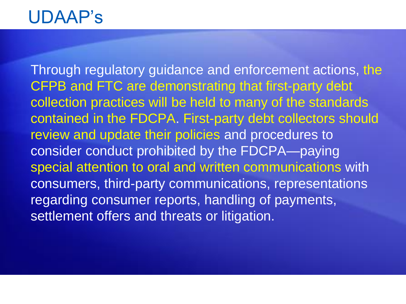Through regulatory guidance and enforcement actions, the CFPB and FTC are demonstrating that first-party debt collection practices will be held to many of the standards contained in the FDCPA. First-party debt collectors should review and update their policies and procedures to consider conduct prohibited by the FDCPA—paying special attention to oral and written communications with consumers, third-party communications, representations regarding consumer reports, handling of payments, settlement offers and threats or litigation.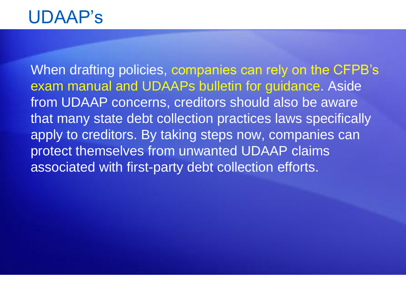When drafting policies, companies can rely on the CFPB's exam manual and UDAAPs bulletin for guidance. Aside from UDAAP concerns, creditors should also be aware that many state debt collection practices laws specifically apply to creditors. By taking steps now, companies can protect themselves from unwanted UDAAP claims associated with first-party debt collection efforts.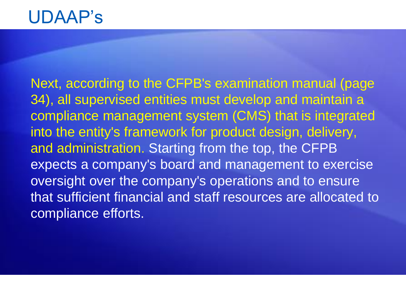Next, according to the CFPB's examination manual (page 34), all supervised entities must develop and maintain a compliance management system (CMS) that is integrated into the entity's framework for product design, delivery, and administration. Starting from the top, the CFPB expects a company's board and management to exercise oversight over the company's operations and to ensure that sufficient financial and staff resources are allocated to compliance efforts.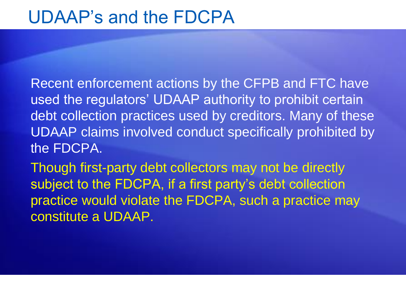### UDAAP's and the FDCPA

Recent enforcement actions by the CFPB and FTC have used the regulators' UDAAP authority to prohibit certain debt collection practices used by creditors. Many of these UDAAP claims involved conduct specifically prohibited by the FDCPA.

Though first-party debt collectors may not be directly subject to the FDCPA, if a first party's debt collection practice would violate the FDCPA, such a practice may constitute a UDAAP.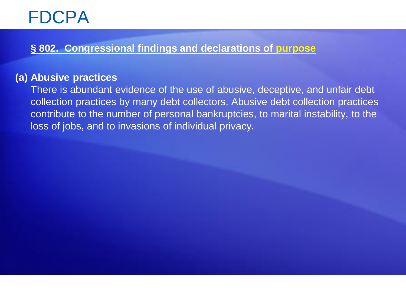#### **§ 802. Congressional findings and declarations of purpose**

#### **(a) Abusive practices**

There is abundant evidence of the use of abusive, deceptive, and unfair debt collection practices by many debt collectors. Abusive debt collection practices contribute to the number of personal bankruptcies, to marital instability, to the loss of jobs, and to invasions of individual privacy.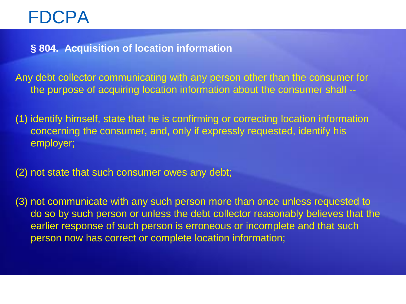**§ 804. Acquisition of location information**

Any debt collector communicating with any person other than the consumer for the purpose of acquiring location information about the consumer shall --

(1) identify himself, state that he is confirming or correcting location information concerning the consumer, and, only if expressly requested, identify his employer;

(2) not state that such consumer owes any debt;

(3) not communicate with any such person more than once unless requested to do so by such person or unless the debt collector reasonably believes that the earlier response of such person is erroneous or incomplete and that such person now has correct or complete location information;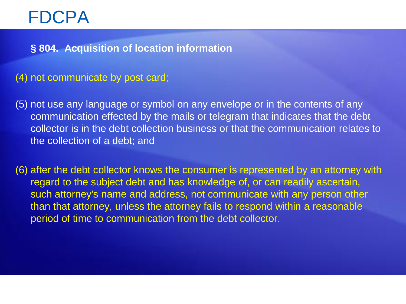**§ 804. Acquisition of location information**

#### (4) not communicate by post card;

(5) not use any language or symbol on any envelope or in the contents of any communication effected by the mails or telegram that indicates that the debt collector is in the debt collection business or that the communication relates to the collection of a debt; and

(6) after the debt collector knows the consumer is represented by an attorney with regard to the subject debt and has knowledge of, or can readily ascertain, such attorney's name and address, not communicate with any person other than that attorney, unless the attorney fails to respond within a reasonable period of time to communication from the debt collector.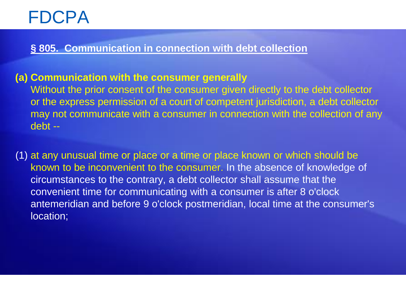#### **§ 805. Communication in connection with debt collection**

#### **(a) Communication with the consumer generally**

Without the prior consent of the consumer given directly to the debt collector or the express permission of a court of competent jurisdiction, a debt collector may not communicate with a consumer in connection with the collection of any debt --

(1) at any unusual time or place or a time or place known or which should be known to be inconvenient to the consumer. In the absence of knowledge of circumstances to the contrary, a debt collector shall assume that the convenient time for communicating with a consumer is after 8 o'clock antemeridian and before 9 o'clock postmeridian, local time at the consumer's location;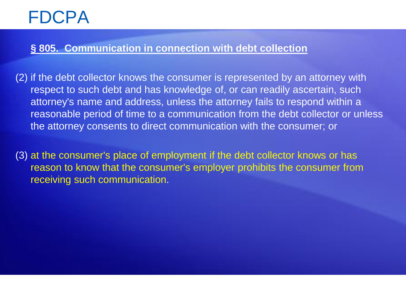#### **§ 805. Communication in connection with debt collection**

- (2) if the debt collector knows the consumer is represented by an attorney with respect to such debt and has knowledge of, or can readily ascertain, such attorney's name and address, unless the attorney fails to respond within a reasonable period of time to a communication from the debt collector or unless the attorney consents to direct communication with the consumer; or
- (3) at the consumer's place of employment if the debt collector knows or has reason to know that the consumer's employer prohibits the consumer from receiving such communication.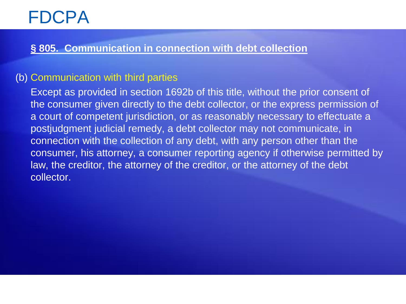#### **§ 805. Communication in connection with debt collection**

#### (b) Communication with third parties

Except as provided in section 1692b of this title, without the prior consent of the consumer given directly to the debt collector, or the express permission of a court of competent jurisdiction, or as reasonably necessary to effectuate a postjudgment judicial remedy, a debt collector may not communicate, in connection with the collection of any debt, with any person other than the consumer, his attorney, a consumer reporting agency if otherwise permitted by law, the creditor, the attorney of the creditor, or the attorney of the debt collector.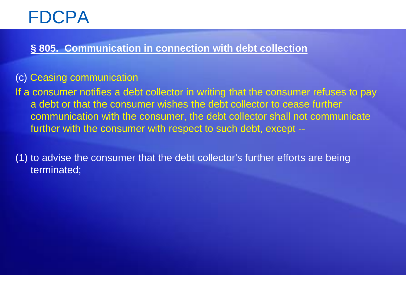#### **§ 805. Communication in connection with debt collection**

#### (c) Ceasing communication

If a consumer notifies a debt collector in writing that the consumer refuses to pay a debt or that the consumer wishes the debt collector to cease further communication with the consumer, the debt collector shall not communicate further with the consumer with respect to such debt, except --

(1) to advise the consumer that the debt collector's further efforts are being terminated;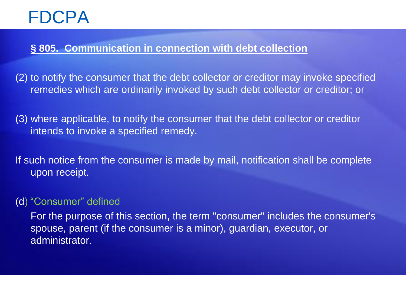#### **§ 805. Communication in connection with debt collection**

(2) to notify the consumer that the debt collector or creditor may invoke specified remedies which are ordinarily invoked by such debt collector or creditor; or

(3) where applicable, to notify the consumer that the debt collector or creditor intends to invoke a specified remedy.

If such notice from the consumer is made by mail, notification shall be complete upon receipt.

#### (d) "Consumer" defined

For the purpose of this section, the term "consumer" includes the consumer's spouse, parent (if the consumer is a minor), guardian, executor, or administrator.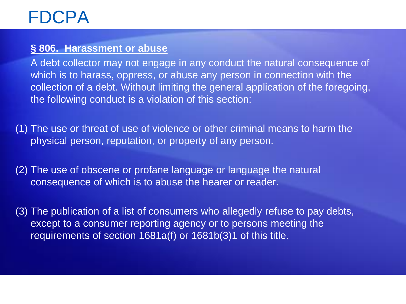#### **§ 806. Harassment or abuse**

A debt collector may not engage in any conduct the natural consequence of which is to harass, oppress, or abuse any person in connection with the collection of a debt. Without limiting the general application of the foregoing, the following conduct is a violation of this section:

(1) The use or threat of use of violence or other criminal means to harm the physical person, reputation, or property of any person.

(2) The use of obscene or profane language or language the natural consequence of which is to abuse the hearer or reader.

(3) The publication of a list of consumers who allegedly refuse to pay debts, except to a consumer reporting agency or to persons meeting the requirements of section 1681a(f) or 1681b(3)1 of this title.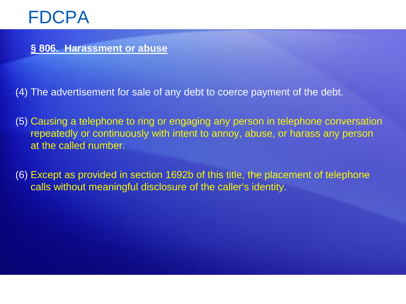**§ 806. Harassment or abuse**

(4) The advertisement for sale of any debt to coerce payment of the debt.

- (5) Causing a telephone to ring or engaging any person in telephone conversation repeatedly or continuously with intent to annoy, abuse, or harass any person at the called number.
- (6) Except as provided in section 1692b of this title, the placement of telephone calls without meaningful disclosure of the caller's identity.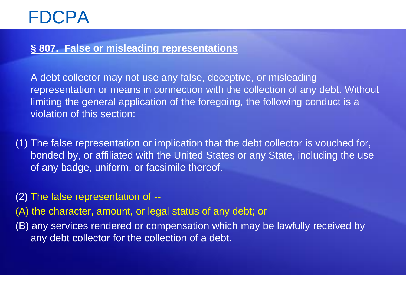#### **§ 807. False or misleading representations**

A debt collector may not use any false, deceptive, or misleading representation or means in connection with the collection of any debt. Without limiting the general application of the foregoing, the following conduct is a violation of this section:

(1) The false representation or implication that the debt collector is vouched for, bonded by, or affiliated with the United States or any State, including the use of any badge, uniform, or facsimile thereof.

(2) The false representation of --

(A) the character, amount, or legal status of any debt; or

(B) any services rendered or compensation which may be lawfully received by any debt collector for the collection of a debt.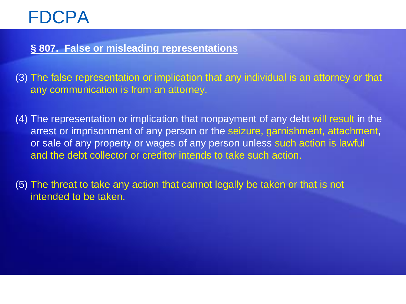#### **§ 807. False or misleading representations**

- (3) The false representation or implication that any individual is an attorney or that any communication is from an attorney.
- (4) The representation or implication that nonpayment of any debt will result in the arrest or imprisonment of any person or the seizure, garnishment, attachment, or sale of any property or wages of any person unless such action is lawful and the debt collector or creditor intends to take such action.
- (5) The threat to take any action that cannot legally be taken or that is not intended to be taken.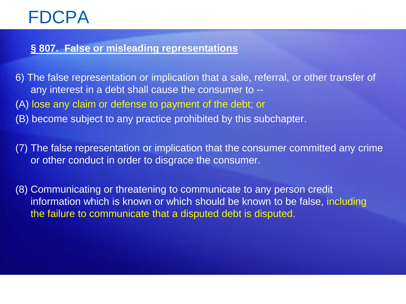#### **§ 807. False or misleading representations**

6) The false representation or implication that a sale, referral, or other transfer of any interest in a debt shall cause the consumer to -- (A) lose any claim or defense to payment of the debt; or (B) become subject to any practice prohibited by this subchapter.

(7) The false representation or implication that the consumer committed any crime or other conduct in order to disgrace the consumer.

(8) Communicating or threatening to communicate to any person credit information which is known or which should be known to be false, including the failure to communicate that a disputed debt is disputed.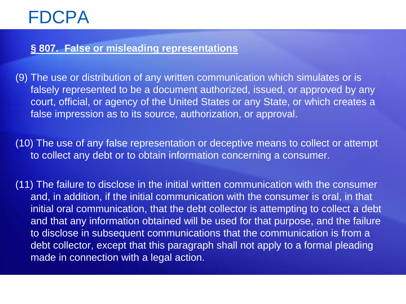#### **§ 807. False or misleading representations**

- (9) The use or distribution of any written communication which simulates or is falsely represented to be a document authorized, issued, or approved by any court, official, or agency of the United States or any State, or which creates a false impression as to its source, authorization, or approval.
- (10) The use of any false representation or deceptive means to collect or attempt to collect any debt or to obtain information concerning a consumer.
- (11) The failure to disclose in the initial written communication with the consumer and, in addition, if the initial communication with the consumer is oral, in that initial oral communication, that the debt collector is attempting to collect a debt and that any information obtained will be used for that purpose, and the failure to disclose in subsequent communications that the communication is from a debt collector, except that this paragraph shall not apply to a formal pleading made in connection with a legal action.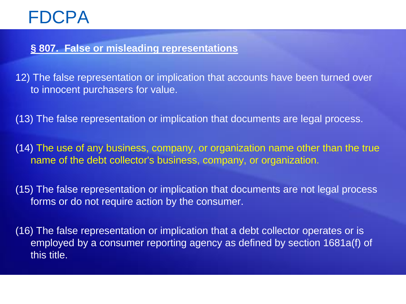#### **§ 807. False or misleading representations**

12) The false representation or implication that accounts have been turned over to innocent purchasers for value.

(13) The false representation or implication that documents are legal process.

(14) The use of any business, company, or organization name other than the true name of the debt collector's business, company, or organization.

(15) The false representation or implication that documents are not legal process forms or do not require action by the consumer.

(16) The false representation or implication that a debt collector operates or is employed by a consumer reporting agency as defined by section 1681a(f) of this title.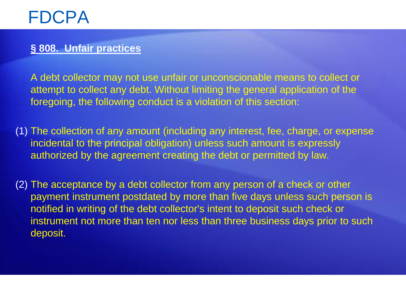#### **§ 808. Unfair practices**

A debt collector may not use unfair or unconscionable means to collect or attempt to collect any debt. Without limiting the general application of the foregoing, the following conduct is a violation of this section:

(1) The collection of any amount (including any interest, fee, charge, or expense incidental to the principal obligation) unless such amount is expressly authorized by the agreement creating the debt or permitted by law.

(2) The acceptance by a debt collector from any person of a check or other payment instrument postdated by more than five days unless such person is notified in writing of the debt collector's intent to deposit such check or instrument not more than ten nor less than three business days prior to such deposit.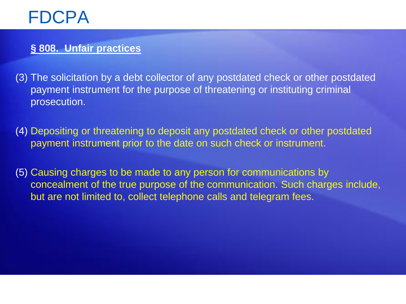#### **§ 808. Unfair practices**

- (3) The solicitation by a debt collector of any postdated check or other postdated payment instrument for the purpose of threatening or instituting criminal prosecution.
- (4) Depositing or threatening to deposit any postdated check or other postdated payment instrument prior to the date on such check or instrument.
- (5) Causing charges to be made to any person for communications by concealment of the true purpose of the communication. Such charges include, but are not limited to, collect telephone calls and telegram fees.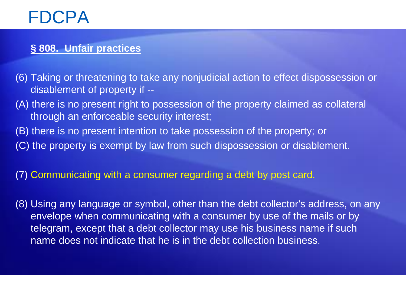#### **§ 808. Unfair practices**

- (6) Taking or threatening to take any nonjudicial action to effect dispossession or disablement of property if --
- (A) there is no present right to possession of the property claimed as collateral through an enforceable security interest;
- (B) there is no present intention to take possession of the property; or
- (C) the property is exempt by law from such dispossession or disablement.

#### (7) Communicating with a consumer regarding a debt by post card.

(8) Using any language or symbol, other than the debt collector's address, on any envelope when communicating with a consumer by use of the mails or by telegram, except that a debt collector may use his business name if such name does not indicate that he is in the debt collection business.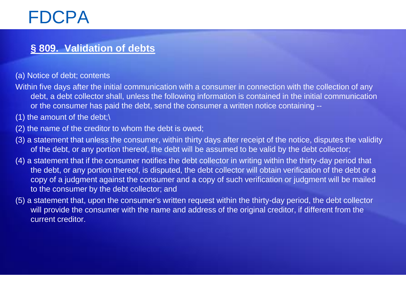#### **§ 809. Validation of debts**

(a) Notice of debt; contents

- Within five days after the initial communication with a consumer in connection with the collection of any debt, a debt collector shall, unless the following information is contained in the initial communication or the consumer has paid the debt, send the consumer a written notice containing --
- (1) the amount of the debt;\
- (2) the name of the creditor to whom the debt is owed;
- (3) a statement that unless the consumer, within thirty days after receipt of the notice, disputes the validity of the debt, or any portion thereof, the debt will be assumed to be valid by the debt collector;
- (4) a statement that if the consumer notifies the debt collector in writing within the thirty-day period that the debt, or any portion thereof, is disputed, the debt collector will obtain verification of the debt or a copy of a judgment against the consumer and a copy of such verification or judgment will be mailed to the consumer by the debt collector; and
- (5) a statement that, upon the consumer's written request within the thirty-day period, the debt collector will provide the consumer with the name and address of the original creditor, if different from the current creditor.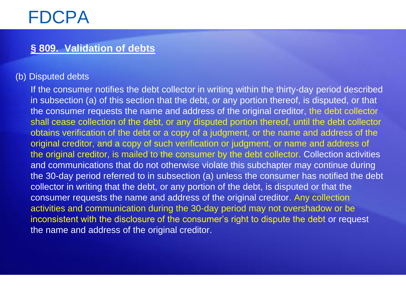#### **§ 809. Validation of debts**

#### (b) Disputed debts

If the consumer notifies the debt collector in writing within the thirty-day period described in subsection (a) of this section that the debt, or any portion thereof, is disputed, or that the consumer requests the name and address of the original creditor, the debt collector shall cease collection of the debt, or any disputed portion thereof, until the debt collector obtains verification of the debt or a copy of a judgment, or the name and address of the original creditor, and a copy of such verification or judgment, or name and address of the original creditor, is mailed to the consumer by the debt collector. Collection activities and communications that do not otherwise violate this subchapter may continue during the 30-day period referred to in subsection (a) unless the consumer has notified the debt collector in writing that the debt, or any portion of the debt, is disputed or that the consumer requests the name and address of the original creditor. Any collection activities and communication during the 30-day period may not overshadow or be inconsistent with the disclosure of the consumer's right to dispute the debt or request the name and address of the original creditor.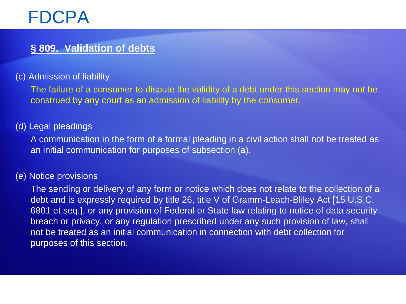#### **§ 809. Validation of debts**

#### (c) Admission of liability

The failure of a consumer to dispute the validity of a debt under this section may not be construed by any court as an admission of liability by the consumer.

#### (d) Legal pleadings

A communication in the form of a formal pleading in a civil action shall not be treated as an initial communication for purposes of subsection (a).

#### (e) Notice provisions

The sending or delivery of any form or notice which does not relate to the collection of a debt and is expressly required by title 26, title V of Gramm-Leach-Bliley Act [15 U.S.C. 6801 et seq.], or any provision of Federal or State law relating to notice of data security breach or privacy, or any regulation prescribed under any such provision of law, shall not be treated as an initial communication in connection with debt collection for purposes of this section.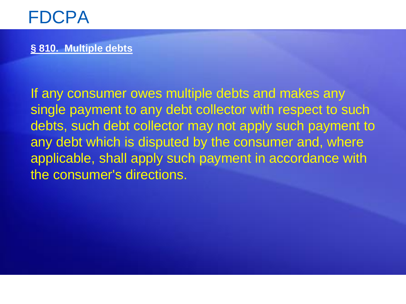#### **§ 810. Multiple debts**

If any consumer owes multiple debts and makes any single payment to any debt collector with respect to such debts, such debt collector may not apply such payment to any debt which is disputed by the consumer and, where applicable, shall apply such payment in accordance with the consumer's directions.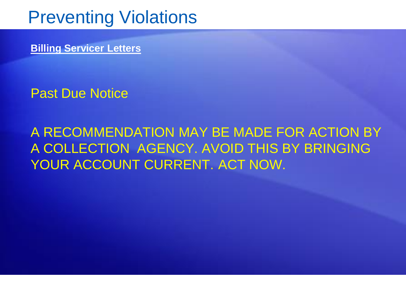**Billing Servicer Letters**

Past Due Notice

A RECOMMENDATION MAY BE MADE FOR ACTION BY A COLLECTION AGENCY. AVOID THIS BY BRINGING YOUR ACCOUNT CURRENT. ACT NOW.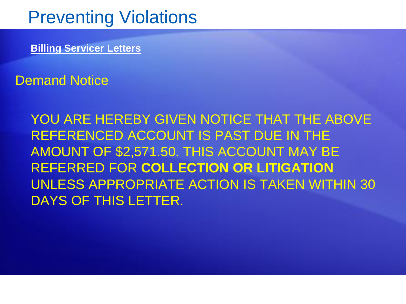**Billing Servicer Letters**

Demand Notice

YOU ARE HEREBY GIVEN NOTICE THAT THE ABOVE REFERENCED ACCOUNT IS PAST DUE IN THE AMOUNT OF \$2,571.50. THIS ACCOUNT MAY BE REFERRED FOR **COLLECTION OR LITIGATION** UNLESS APPROPRIATE ACTION IS TAKEN WITHIN 30 DAYS OF THIS LETTER.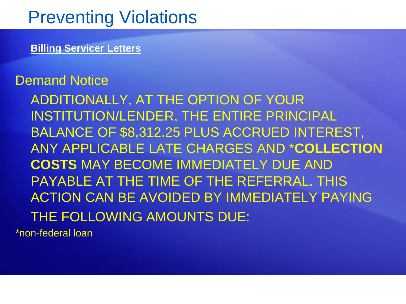**Billing Servicer Letters**

### Demand Notice

ADDITIONALLY, AT THE OPTION OF YOUR INSTITUTION/LENDER, THE ENTIRE PRINCIPAL BALANCE OF \$8,312.25 PLUS ACCRUED INTEREST, ANY APPLICABLE LATE CHARGES AND \***COLLECTION COSTS** MAY BECOME IMMEDIATELY DUE AND PAYABLE AT THE TIME OF THE REFERRAL. THIS ACTION CAN BE AVOIDED BY IMMEDIATELY PAYING THE FOLLOWING AMOUNTS DUE:

\*non-federal loan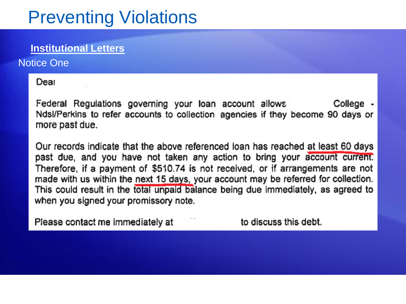#### **Institutional Letters**

Notice One

Dear

Federal Regulations governing your loan account allows College -Ndsl/Perkins to refer accounts to collection agencies if they become 90 days or more past due.

Our records indicate that the above referenced loan has reached at least 60 days past due, and you have not taken any action to bring your account current. Therefore, if a payment of \$510.74 is not received, or if arrangements are not made with us within the next 15 days, your account may be referred for collection. This could result in the total unpaid balance being due immediately, as agreed to when you signed your promissory note.

Please contact me immediately at

to discuss this debt.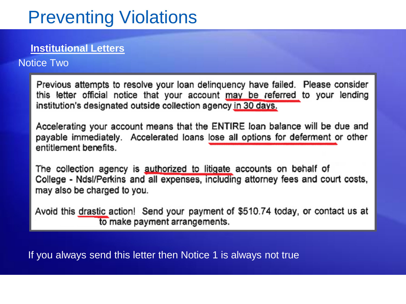#### **Institutional Letters**

#### Notice Two

Previous attempts to resolve your loan delinquency have failed. Please consider this letter official notice that your account may be referred to your lending institution's designated outside collection agency in 30 days.

Accelerating your account means that the ENTIRE loan balance will be due and payable immediately. Accelerated loans lose all options for deferment or other entitlement benefits

The collection agency is authorized to litigate accounts on behalf of College - Ndsl/Perkins and all expenses, including attorney fees and court costs, may also be charged to you.

Avoid this drastic action! Send your payment of \$510.74 today, or contact us at to make payment arrangements.

If you always send this letter then Notice 1 is always not true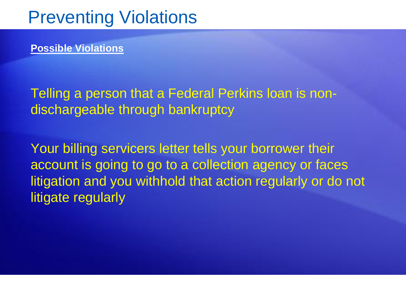**Possible Violations**

Telling a person that a Federal Perkins loan is nondischargeable through bankruptcy

Your billing servicers letter tells your borrower their account is going to go to a collection agency or faces litigation and you withhold that action regularly or do not litigate regularly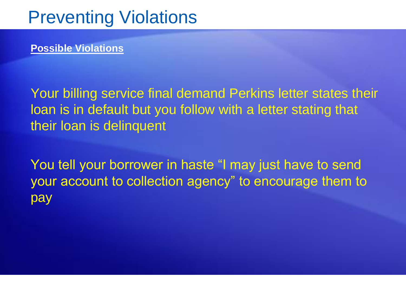**Possible Violations**

Your billing service final demand Perkins letter states their loan is in default but you follow with a letter stating that their loan is delinquent

You tell your borrower in haste "I may just have to send your account to collection agency" to encourage them to pay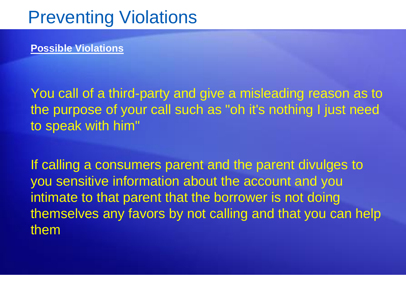**Possible Violations**

You call of a third-party and give a misleading reason as to the purpose of your call such as "oh it's nothing I just need to speak with him"

If calling a consumers parent and the parent divulges to you sensitive information about the account and you intimate to that parent that the borrower is not doing themselves any favors by not calling and that you can help them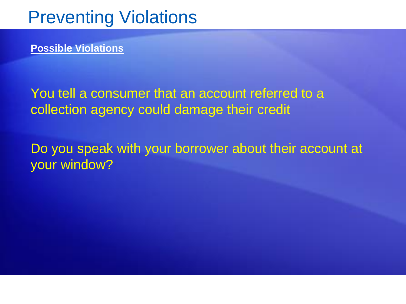**Possible Violations**

You tell a consumer that an account referred to a collection agency could damage their credit

Do you speak with your borrower about their account at your window?